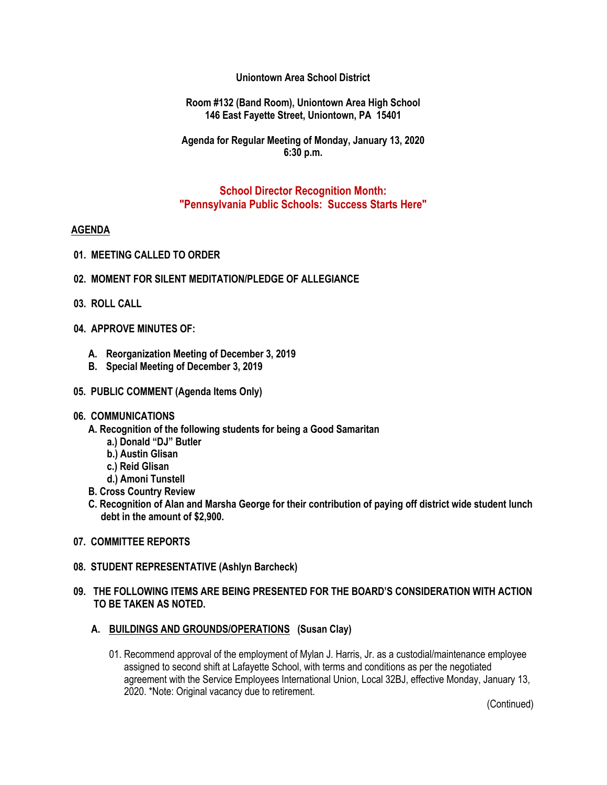## **Uniontown Area School District**

#### **Room #132 (Band Room), Uniontown Area High School 146 East Fayette Street, Uniontown, PA 15401**

### **Agenda for Regular Meeting of Monday, January 13, 2020 6:30 p.m.**

## **School Director Recognition Month: "Pennsylvania Public Schools: Success Starts Here"**

#### **AGENDA**

- **01. MEETING CALLED TO ORDER**
- **02. MOMENT FOR SILENT MEDITATION/PLEDGE OF ALLEGIANCE**
- **03. ROLL CALL**
- **04. APPROVE MINUTES OF:**
	- **A. Reorganization Meeting of December 3, 2019**
	- **B. Special Meeting of December 3, 2019**
- **05. PUBLIC COMMENT (Agenda Items Only)**

#### **06. COMMUNICATIONS**

- **A. Recognition of the following students for being a Good Samaritan** 
	- **a.) Donald "DJ" Butler**
	- **b.) Austin Glisan**
	- **c.) Reid Glisan**
	- **d.) Amoni Tunstell**
- **B. Cross Country Review**
- **C. Recognition of Alan and Marsha George for their contribution of paying off district wide student lunch debt in the amount of \$2,900.**
- **07. COMMITTEE REPORTS**

#### **08. STUDENT REPRESENTATIVE (Ashlyn Barcheck)**

### **09. THE FOLLOWING ITEMS ARE BEING PRESENTED FOR THE BOARD'S CONSIDERATION WITH ACTION TO BE TAKEN AS NOTED.**

- **A. BUILDINGS AND GROUNDS/OPERATIONS (Susan Clay)**
	- 01. Recommend approval of the employment of Mylan J. Harris, Jr. as a custodial/maintenance employee assigned to second shift at Lafayette School, with terms and conditions as per the negotiated agreement with the Service Employees International Union, Local 32BJ, effective Monday, January 13, 2020. \*Note: Original vacancy due to retirement.

(Continued)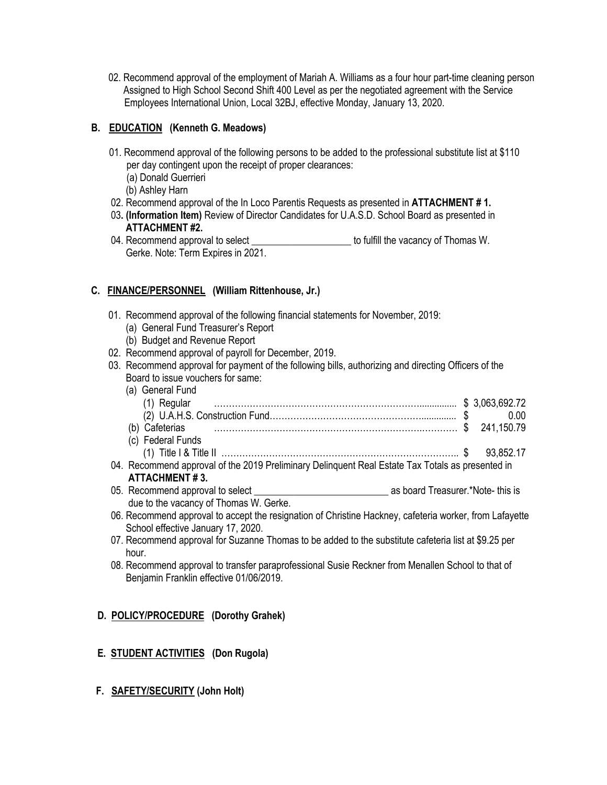02. Recommend approval of the employment of Mariah A. Williams as a four hour part-time cleaning person Assigned to High School Second Shift 400 Level as per the negotiated agreement with the Service Employees International Union, Local 32BJ, effective Monday, January 13, 2020.

# **B. EDUCATION (Kenneth G. Meadows)**

- 01. Recommend approval of the following persons to be added to the professional substitute list at \$110 per day contingent upon the receipt of proper clearances:
	- (a) Donald Guerrieri
	- (b) Ashley Harn
- 02. Recommend approval of the In Loco Parentis Requests as presented in **ATTACHMENT # 1.**
- 03**. (Information Item)** Review of Director Candidates for U.A.S.D. School Board as presented in  **ATTACHMENT #2.**
- 04. Recommend approval to select \_\_\_\_\_\_\_\_\_\_\_\_\_\_\_\_\_\_\_\_\_\_\_ to fulfill the vacancy of Thomas W. Gerke. Note: Term Expires in 2021.

# **C. FINANCE/PERSONNEL (William Rittenhouse, Jr.)**

- 01. Recommend approval of the following financial statements for November, 2019:
	- (a) General Fund Treasurer's Report
	- (b) Budget and Revenue Report
- 02. Recommend approval of payroll for December, 2019.
- 03. Recommend approval for payment of the following bills, authorizing and directing Officers of the Board to issue vouchers for same:

| (a) General Fund       |  |
|------------------------|--|
|                        |  |
|                        |  |
| (D)                    |  |
| (c) Federal Funds      |  |
| (1) Title I & Title II |  |

- 04. Recommend approval of the 2019 Preliminary Delinquent Real Estate Tax Totals as presented in **ATTACHMENT # 3.**
- 05. Recommend approval to select example as board Treasurer.\*Note- this is due to the vacancy of Thomas W. Gerke.
- 06. Recommend approval to accept the resignation of Christine Hackney, cafeteria worker, from Lafayette School effective January 17, 2020.
- 07. Recommend approval for Suzanne Thomas to be added to the substitute cafeteria list at \$9.25 per hour.
- 08. Recommend approval to transfer paraprofessional Susie Reckner from Menallen School to that of Benjamin Franklin effective 01/06/2019.

## **D. POLICY/PROCEDURE (Dorothy Grahek)**

## **E. STUDENT ACTIVITIES (Don Rugola)**

 **F. SAFETY/SECURITY (John Holt)**